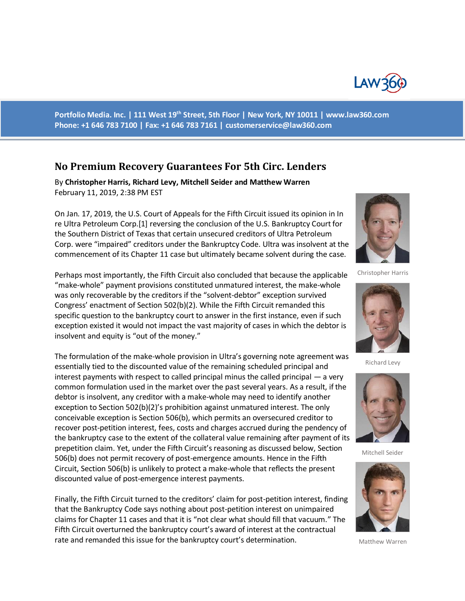

**Portfolio Media. Inc. | 111 West 19th Street, 5th Floor | New York, NY 10011 | www.law360.com Phone: +1 646 783 7100 | Fax: +1 646 783 7161 | [customerservice@law360.com](mailto:customerservice@law360.com)**

# **No Premium Recovery Guarantees For 5th Circ. Lenders**

By **Christopher Harris, Richard Levy, Mitchell Seider and Matthew Warren** February 11, 2019, 2:38 PM EST

On Jan. 17, 2019, the U.S. Court of Appeals for the Fifth Circuit issued its opinion in In re Ultra Petroleum Corp.[1] reversing the conclusion of the U.S. Bankruptcy Court for the Southern District of Texas that certain unsecured creditors of Ultra Petroleum Corp. were "impaired" creditors under the Bankruptcy Code. Ultra was insolvent at the commencement of its Chapter 11 case but ultimately became solvent during the case.



Christopher Harris



Richard Levy



Mitchell Seider



Matthew Warren

Perhaps most importantly, the Fifth Circuit also concluded that because the applicable "make-whole" payment provisions constituted unmatured interest, the make-whole was only recoverable by the creditors if the "solvent-debtor" exception survived Congress' enactment of Section 502(b)(2). While the Fifth Circuit remanded this specific question to the bankruptcy court to answer in the first instance, even if such exception existed it would not impact the vast majority of cases in which the debtor is insolvent and equity is "out of the money."

The formulation of the make-whole provision in Ultra's governing note agreement was essentially tied to the discounted value of the remaining scheduled principal and interest payments with respect to called principal minus the called principal — a very common formulation used in the market over the past several years. As a result, if the debtor is insolvent, any creditor with a make-whole may need to identify another exception to Section 502(b)(2)'s prohibition against unmatured interest. The only conceivable exception is Section 506(b), which permits an oversecured creditor to recover post-petition interest, fees, costs and charges accrued during the pendency of the bankruptcy case to the extent of the collateral value remaining after payment of its prepetition claim. Yet, under the Fifth Circuit's reasoning as discussed below, Section 506(b) does not permit recovery of post-emergence amounts. Hence in the Fifth Circuit, Section 506(b) is unlikely to protect a make-whole that reflects the present discounted value of post-emergence interest payments.

Finally, the Fifth Circuit turned to the creditors' claim for post-petition interest, finding that the Bankruptcy Code says nothing about post-petition interest on unimpaired claims for Chapter 11 cases and that it is "not clear what should fill that vacuum." The Fifth Circuit overturned the bankruptcy court's award of interest at the contractual rate and remanded this issue for the bankruptcy court's determination.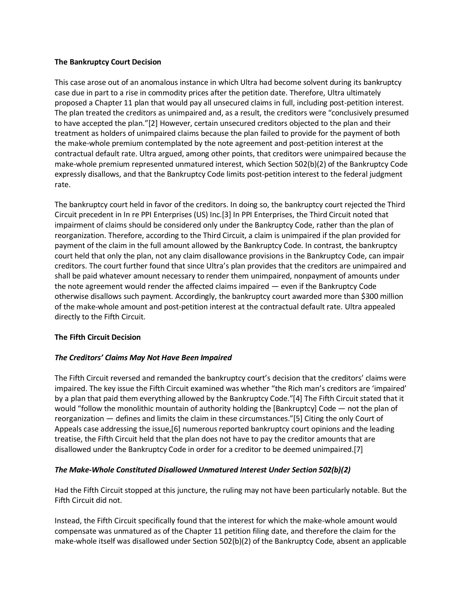### **The Bankruptcy Court Decision**

This case arose out of an anomalous instance in which Ultra had become solvent during its bankruptcy case due in part to a rise in commodity prices after the petition date. Therefore, Ultra ultimately proposed a Chapter 11 plan that would pay all unsecured claims in full, including post-petition interest. The plan treated the creditors as unimpaired and, as a result, the creditors were "conclusively presumed to have accepted the plan."[2] However, certain unsecured creditors objected to the plan and their treatment as holders of unimpaired claims because the plan failed to provide for the payment of both the make-whole premium contemplated by the note agreement and post-petition interest at the contractual default rate. Ultra argued, among other points, that creditors were unimpaired because the make-whole premium represented unmatured interest, which Section 502(b)(2) of the Bankruptcy Code expressly disallows, and that the Bankruptcy Code limits post-petition interest to the federal judgment rate.

The bankruptcy court held in favor of the creditors. In doing so, the bankruptcy court rejected the Third Circuit precedent in In re PPI Enterprises (US) Inc.[3] In PPI Enterprises, the Third Circuit noted that impairment of claims should be considered only under the Bankruptcy Code, rather than the plan of reorganization. Therefore, according to the Third Circuit, a claim is unimpaired if the plan provided for payment of the claim in the full amount allowed by the Bankruptcy Code. In contrast, the bankruptcy court held that only the plan, not any claim disallowance provisions in the Bankruptcy Code, can impair creditors. The court further found that since Ultra's plan provides that the creditors are unimpaired and shall be paid whatever amount necessary to render them unimpaired, nonpayment of amounts under the note agreement would render the affected claims impaired — even if the Bankruptcy Code otherwise disallows such payment. Accordingly, the bankruptcy court awarded more than \$300 million of the make-whole amount and post-petition interest at the contractual default rate. Ultra appealed directly to the Fifth Circuit.

#### **The Fifth Circuit Decision**

# *The Creditors' Claims May Not Have Been Impaired*

The Fifth Circuit reversed and remanded the bankruptcy court's decision that the creditors' claims were impaired. The key issue the Fifth Circuit examined was whether "the Rich man's creditors are 'impaired' by a plan that paid them everything allowed by the Bankruptcy Code."[4] The Fifth Circuit stated that it would "follow the monolithic mountain of authority holding the [Bankruptcy] Code — not the plan of reorganization — defines and limits the claim in these circumstances."[5] Citing the only Court of Appeals case addressing the issue,[6] numerous reported bankruptcy court opinions and the leading treatise, the Fifth Circuit held that the plan does not have to pay the creditor amounts that are disallowed under the Bankruptcy Code in order for a creditor to be deemed unimpaired.[7]

# *The Make-Whole Constituted Disallowed Unmatured Interest Under Section 502(b)(2)*

Had the Fifth Circuit stopped at this juncture, the ruling may not have been particularly notable. But the Fifth Circuit did not.

Instead, the Fifth Circuit specifically found that the interest for which the make-whole amount would compensate was unmatured as of the Chapter 11 petition filing date, and therefore the claim for the make-whole itself was disallowed under Section 502(b)(2) of the Bankruptcy Code, absent an applicable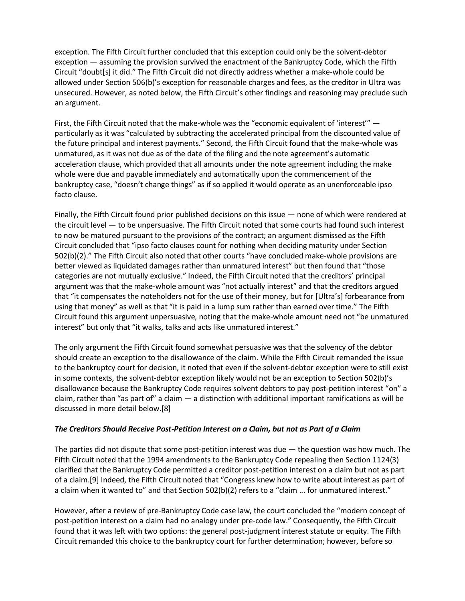exception. The Fifth Circuit further concluded that this exception could only be the solvent-debtor exception — assuming the provision survived the enactment of the Bankruptcy Code, which the Fifth Circuit "doubt[s] it did." The Fifth Circuit did not directly address whether a make-whole could be allowed under Section 506(b)'s exception for reasonable charges and fees, as the creditor in Ultra was unsecured. However, as noted below, the Fifth Circuit's other findings and reasoning may preclude such an argument.

First, the Fifth Circuit noted that the make-whole was the "economic equivalent of 'interest'" particularly as it was "calculated by subtracting the accelerated principal from the discounted value of the future principal and interest payments." Second, the Fifth Circuit found that the make-whole was unmatured, as it was not due as of the date of the filing and the note agreement's automatic acceleration clause, which provided that all amounts under the note agreement including the make whole were due and payable immediately and automatically upon the commencement of the bankruptcy case, "doesn't change things" as if so applied it would operate as an unenforceable ipso facto clause.

Finally, the Fifth Circuit found prior published decisions on this issue — none of which were rendered at the circuit level — to be unpersuasive. The Fifth Circuit noted that some courts had found such interest to now be matured pursuant to the provisions of the contract; an argument dismissed as the Fifth Circuit concluded that "ipso facto clauses count for nothing when deciding maturity under Section 502(b)(2)." The Fifth Circuit also noted that other courts "have concluded make-whole provisions are better viewed as liquidated damages rather than unmatured interest" but then found that "those categories are not mutually exclusive." Indeed, the Fifth Circuit noted that the creditors' principal argument was that the make-whole amount was "not actually interest" and that the creditors argued that "it compensates the noteholders not for the use of their money, but for [Ultra's] forbearance from using that money" as well as that "it is paid in a lump sum rather than earned over time." The Fifth Circuit found this argument unpersuasive, noting that the make-whole amount need not "be unmatured interest" but only that "it walks, talks and acts like unmatured interest."

The only argument the Fifth Circuit found somewhat persuasive was that the solvency of the debtor should create an exception to the disallowance of the claim. While the Fifth Circuit remanded the issue to the bankruptcy court for decision, it noted that even if the solvent-debtor exception were to still exist in some contexts, the solvent-debtor exception likely would not be an exception to Section 502(b)'s disallowance because the Bankruptcy Code requires solvent debtors to pay post-petition interest "on" a claim, rather than "as part of" a claim  $-$  a distinction with additional important ramifications as will be discussed in more detail below.[8]

#### *The Creditors Should Receive Post-Petition Interest on a Claim, but not as Part of a Claim*

The parties did not dispute that some post-petition interest was due  $-$  the question was how much. The Fifth Circuit noted that the 1994 amendments to the Bankruptcy Code repealing then Section 1124(3) clarified that the Bankruptcy Code permitted a creditor post-petition interest on a claim but not as part of a claim.[9] Indeed, the Fifth Circuit noted that "Congress knew how to write about interest as part of a claim when it wanted to" and that Section 502(b)(2) refers to a "claim ... for unmatured interest."

However, after a review of pre-Bankruptcy Code case law, the court concluded the "modern concept of post-petition interest on a claim had no analogy under pre-code law." Consequently, the Fifth Circuit found that it was left with two options: the general post-judgment interest statute or equity. The Fifth Circuit remanded this choice to the bankruptcy court for further determination; however, before so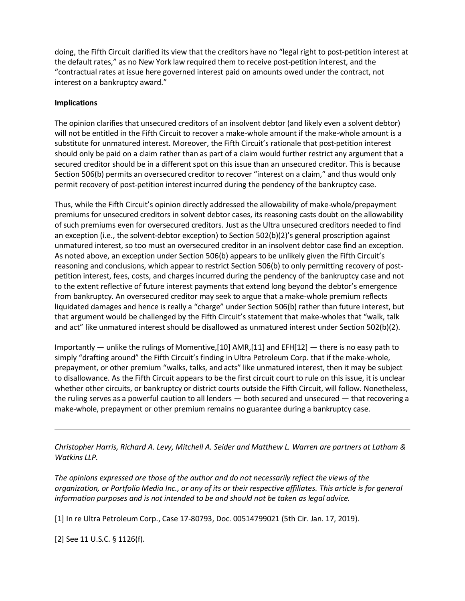doing, the Fifth Circuit clarified its view that the creditors have no "legal right to post-petition interest at the default rates," as no New York law required them to receive post-petition interest, and the "contractual rates at issue here governed interest paid on amounts owed under the contract, not interest on a bankruptcy award."

### **Implications**

The opinion clarifies that unsecured creditors of an insolvent debtor (and likely even a solvent debtor) will not be entitled in the Fifth Circuit to recover a make-whole amount if the make-whole amount is a substitute for unmatured interest. Moreover, the Fifth Circuit's rationale that post-petition interest should only be paid on a claim rather than as part of a claim would further restrict any argument that a secured creditor should be in a different spot on this issue than an unsecured creditor. This is because Section 506(b) permits an oversecured creditor to recover "interest on a claim," and thus would only permit recovery of post-petition interest incurred during the pendency of the bankruptcy case.

Thus, while the Fifth Circuit's opinion directly addressed the allowability of make-whole/prepayment premiums for unsecured creditors in solvent debtor cases, its reasoning casts doubt on the allowability of such premiums even for oversecured creditors. Just as the Ultra unsecured creditors needed to find an exception (i.e., the solvent-debtor exception) to Section 502(b)(2)'s general proscription against unmatured interest, so too must an oversecured creditor in an insolvent debtor case find an exception. As noted above, an exception under Section 506(b) appears to be unlikely given the Fifth Circuit's reasoning and conclusions, which appear to restrict Section 506(b) to only permitting recovery of postpetition interest, fees, costs, and charges incurred during the pendency of the bankruptcy case and not to the extent reflective of future interest payments that extend long beyond the debtor's emergence from bankruptcy. An oversecured creditor may seek to argue that a make-whole premium reflects liquidated damages and hence is really a "charge" under Section 506(b) rather than future interest, but that argument would be challenged by the Fifth Circuit's statement that make-wholes that "walk, talk and act" like unmatured interest should be disallowed as unmatured interest under Section 502(b)(2).

Importantly — unlike the rulings of Momentive, [10] AMR, [11] and EFH [12] — there is no easy path to simply "drafting around" the Fifth Circuit's finding in Ultra Petroleum Corp. that if the make-whole, prepayment, or other premium "walks, talks, and acts" like unmatured interest, then it may be subject to disallowance. As the Fifth Circuit appears to be the first circuit court to rule on this issue, it is unclear whether other circuits, or bankruptcy or district courts outside the Fifth Circuit, will follow. Nonetheless, the ruling serves as a powerful caution to all lenders — both secured and unsecured — that recovering a make-whole, prepayment or other premium remains no guarantee during a bankruptcy case.

*Christopher Harris, Richard A. Levy, Mitchell A. Seider and Matthew L. Warren are partners at Latham & Watkins LLP.*

*The opinions expressed are those of the author and do not necessarily reflect the views of the organization, or Portfolio Media Inc., or any of its or their respective affiliates. This article is for general information purposes and is not intended to be and should not be taken as legal advice.*

[1] In re Ultra Petroleum Corp., Case 17-80793, Doc. 00514799021 (5th Cir. Jan. 17, 2019).

[2] See 11 U.S.C. § 1126(f).